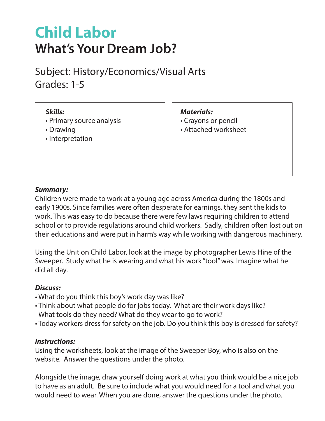# **Child Labor What's Your Dream Job?**

Subject: History/Economics/Visual Arts Grades: 1-5

## *Skills:*

- Primary source analysis
- Drawing
- Interpretation

#### *Materials:*

- Crayons or pencil
- Attached worksheet

## *Summary:*

Children were made to work at a young age across America during the 1800s and early 1900s. Since families were often desperate for earnings, they sent the kids to work. This was easy to do because there were few laws requiring children to attend school or to provide regulations around child workers. Sadly, children often lost out on their educations and were put in harm's way while working with dangerous machinery.

Using the Unit on Child Labor, look at the image by photographer Lewis Hine of the Sweeper. Study what he is wearing and what his work "tool" was. Imagine what he did all day.

## *Discuss:*

- What do you think this boy's work day was like?
- Think about what people do for jobs today. What are their work days like? What tools do they need? What do they wear to go to work?
- Today workers dress for safety on the job. Do you think this boy is dressed for safety?

#### *Instructions:*

Using the worksheets, look at the image of the Sweeper Boy, who is also on the website. Answer the questions under the photo.

Alongside the image, draw yourself doing work at what you think would be a nice job to have as an adult. Be sure to include what you would need for a tool and what you would need to wear. When you are done, answer the questions under the photo.